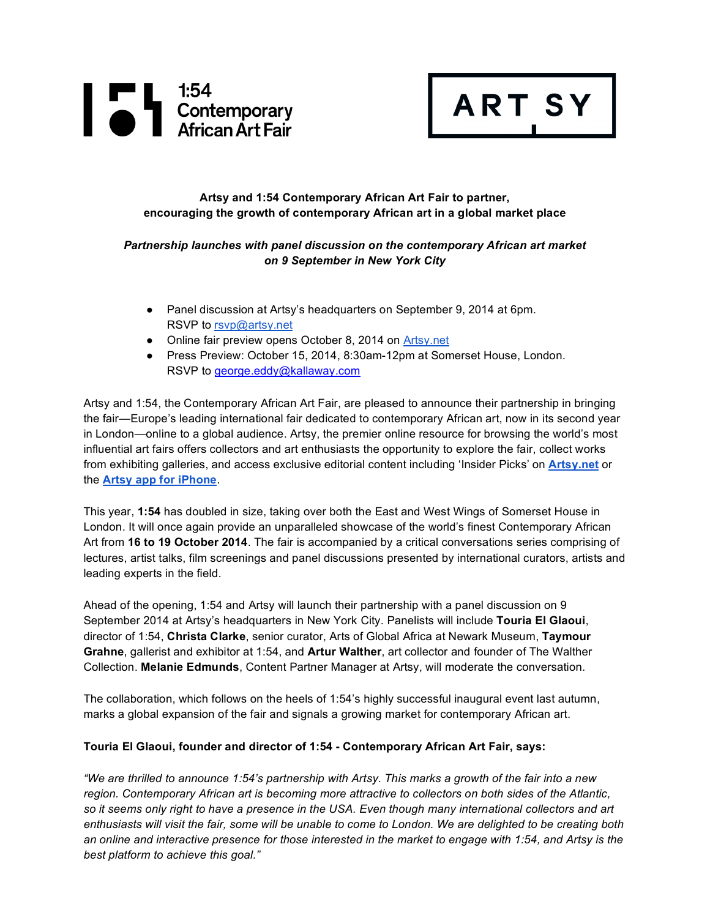

# **Artsy and 1:54 Contemporary African Art Fair to partner, encouraging the growth of contemporary African art in a global market place**

**ART SY** 

## *Partnership launches with panel discussion on the contemporary African art market on 9 September in New York City*

- Panel discussion at Artsy's headquarters on September 9, 2014 at 6pm. RSVP to rsvp@artsy.net
- Online fair preview opens October 8, 2014 on Artsy.net
- Press Preview: October 15, 2014, 8:30am-12pm at Somerset House, London. RSVP to george.eddy@kallaway.com

Artsy and 1:54, the Contemporary African Art Fair, are pleased to announce their partnership in bringing the fair—Europe's leading international fair dedicated to contemporary African art, now in its second year in London—online to a global audience. Artsy, the premier online resource for browsing the world's most influential art fairs offers collectors and art enthusiasts the opportunity to explore the fair, collect works from exhibiting galleries, and access exclusive editorial content including 'Insider Picks' on **Artsy.net** or the **Artsy app for iPhone**.

This year, **1:54** has doubled in size, taking over both the East and West Wings of Somerset House in London. It will once again provide an unparalleled showcase of the world's finest Contemporary African Art from **16 to 19 October 2014**. The fair is accompanied by a critical conversations series comprising of lectures, artist talks, film screenings and panel discussions presented by international curators, artists and leading experts in the field.

Ahead of the opening, 1:54 and Artsy will launch their partnership with a panel discussion on 9 September 2014 at Artsy's headquarters in New York City. Panelists will include **Touria El Glaoui**, director of 1:54, **Christa Clarke**, senior curator, Arts of Global Africa at Newark Museum, **Taymour Grahne**, gallerist and exhibitor at 1:54, and **Artur Walther**, art collector and founder of The Walther Collection. **Melanie Edmunds**, Content Partner Manager at Artsy, will moderate the conversation.

The collaboration, which follows on the heels of 1:54's highly successful inaugural event last autumn, marks a global expansion of the fair and signals a growing market for contemporary African art.

#### **Touria El Glaoui, founder and director of 1:54 - Contemporary African Art Fair, says:**

*"We are thrilled to announce 1:54's partnership with Artsy. This marks a growth of the fair into a new region. Contemporary African art is becoming more attractive to collectors on both sides of the Atlantic, so it seems only right to have a presence in the USA. Even though many international collectors and art enthusiasts will visit the fair, some will be unable to come to London. We are delighted to be creating both an online and interactive presence for those interested in the market to engage with 1:54, and Artsy is the best platform to achieve this goal."*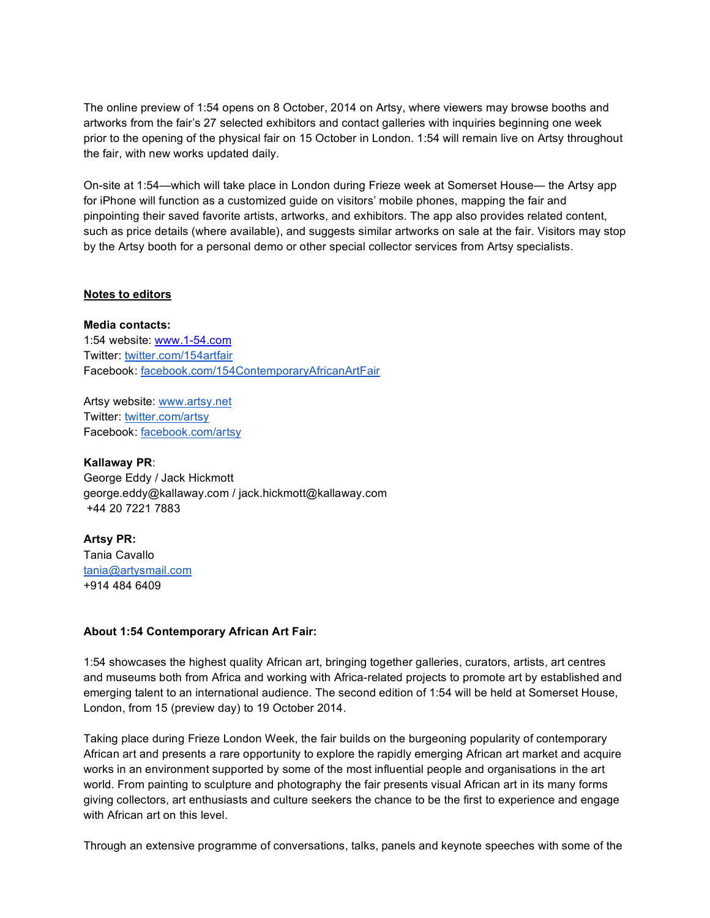The online preview of 1:54 opens on 8 October, 2014 on Artsy, where viewers may browse booths and artworks from the fair's 27 selected exhibitors and contact galleries with inquiries beginning one week prior to the opening of the physical fair on 15 October in London. 1:54 will remain live on Artsy throughout the fair, with new works updated daily.

On-site at 1:54—which will take place in London during Frieze week at Somerset House— the Artsy app for iPhone will function as a customized guide on visitors' mobile phones, mapping the fair and pinpointing their saved favorite artists, artworks, and exhibitors. The app also provides related content, such as price details (where available), and suggests similar artworks on sale at the fair. Visitors may stop by the Artsy booth for a personal demo or other special collector services from Artsy specialists.

#### **Notes to editors**

**Media contacts:** 1:54 website: www.1-54.com Twitter: twitter.com/154artfair Facebook: facebook.com/154ContemporaryAfricanArtFair

Artsy website: www.artsy.net Twitter: twitter.com/artsy Facebook: facebook.com/artsy

**Kallaway PR**: George Eddy / Jack Hickmott george.eddy@kallaway.com / jack.hickmott@kallaway.com +44 20 7221 7883

**Artsy PR:**  Tania Cavallo tania@artysmail.com +914 484 6409

### **About 1:54 Contemporary African Art Fair:**

1:54 showcases the highest quality African art, bringing together galleries, curators, artists, art centres and museums both from Africa and working with Africa-related projects to promote art by established and emerging talent to an international audience. The second edition of 1:54 will be held at Somerset House, London, from 15 (preview day) to 19 October 2014.

Taking place during Frieze London Week, the fair builds on the burgeoning popularity of contemporary African art and presents a rare opportunity to explore the rapidly emerging African art market and acquire works in an environment supported by some of the most influential people and organisations in the art world. From painting to sculpture and photography the fair presents visual African art in its many forms giving collectors, art enthusiasts and culture seekers the chance to be the first to experience and engage with African art on this level.

Through an extensive programme of conversations, talks, panels and keynote speeches with some of the